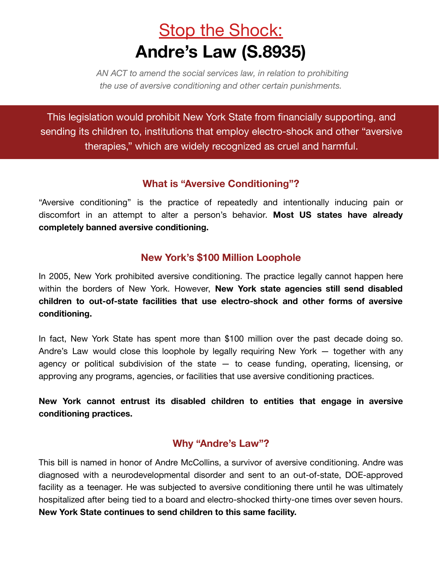# Stop the Shock: **Andre's Law (S.8935)**

*AN ACT to amend the social services law, in relation to prohibiting the use of aversive conditioning and other certain punishments.*

This legislation would prohibit New York State from financially supporting, and sending its children to, institutions that employ electro-shock and other "aversive therapies," which are widely recognized as cruel and harmful.

#### **What is "Aversive Conditioning"?**

"Aversive conditioning" is the practice of repeatedly and intentionally inducing pain or discomfort in an attempt to alter a person's behavior. **Most US states have already completely banned aversive conditioning.**

### **New York's \$100 Million Loophole**

In 2005, New York prohibited aversive conditioning. The practice legally cannot happen here within the borders of New York. However, **New York state agencies still send disabled children to out-of-state facilities that use electro-shock and other forms of aversive conditioning.**

In fact, New York State has spent more than \$100 million over the past decade doing so. Andre's Law would close this loophole by legally requiring New York — together with any agency or political subdivision of the state  $-$  to cease funding, operating, licensing, or approving any programs, agencies, or facilities that use aversive conditioning practices.

**New York cannot entrust its disabled children to entities that engage in aversive conditioning practices.**

#### **Why "Andre's Law"?**

This bill is named in honor of Andre McCollins, a survivor of aversive conditioning. Andre was diagnosed with a neurodevelopmental disorder and sent to an out-of-state, DOE-approved facility as a teenager. He was subjected to aversive conditioning there until he was ultimately hospitalized after being tied to a board and electro-shocked thirty-one times over seven hours. **New York State continues to send children to this same facility.**